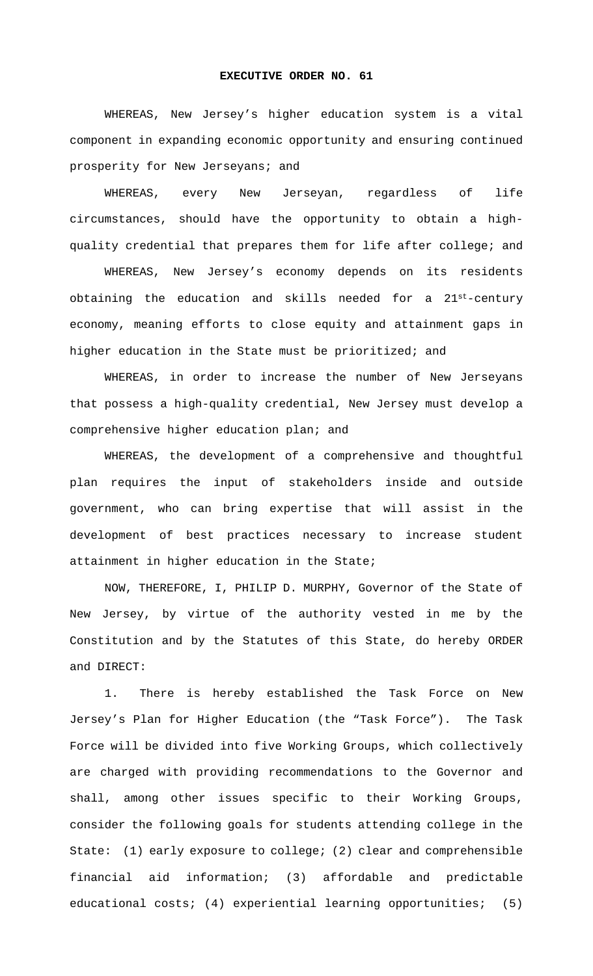## **EXECUTIVE ORDER NO. 61**

 WHEREAS, New Jersey's higher education system is a vital component in expanding economic opportunity and ensuring continued prosperity for New Jerseyans; and

 WHEREAS, every New Jerseyan, regardless of life circumstances, should have the opportunity to obtain a highquality credential that prepares them for life after college; and

 WHEREAS, New Jersey's economy depends on its residents obtaining the education and skills needed for a 21st-century economy, meaning efforts to close equity and attainment gaps in higher education in the State must be prioritized; and

 WHEREAS, in order to increase the number of New Jerseyans that possess a high-quality credential, New Jersey must develop a comprehensive higher education plan; and

 WHEREAS, the development of a comprehensive and thoughtful plan requires the input of stakeholders inside and outside government, who can bring expertise that will assist in the development of best practices necessary to increase student attainment in higher education in the State;

 NOW, THEREFORE, I, PHILIP D. MURPHY, Governor of the State of New Jersey, by virtue of the authority vested in me by the Constitution and by the Statutes of this State, do hereby ORDER and DIRECT:

1. There is hereby established the Task Force on New Jersey's Plan for Higher Education (the "Task Force"). The Task Force will be divided into five Working Groups, which collectively are charged with providing recommendations to the Governor and shall, among other issues specific to their Working Groups, consider the following goals for students attending college in the State: (1) early exposure to college; (2) clear and comprehensible financial aid information; (3) affordable and predictable educational costs; (4) experiential learning opportunities; (5)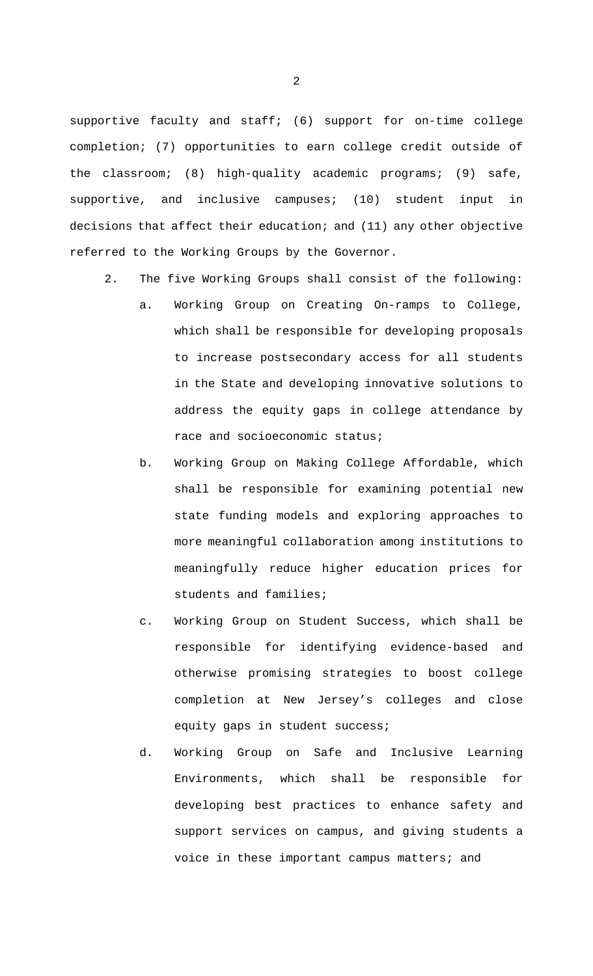supportive faculty and staff; (6) support for on-time college completion; (7) opportunities to earn college credit outside of the classroom; (8) high-quality academic programs; (9) safe, supportive, and inclusive campuses; (10) student input in decisions that affect their education; and (11) any other objective referred to the Working Groups by the Governor.

- 2. The five Working Groups shall consist of the following:
	- a. Working Group on Creating On-ramps to College, which shall be responsible for developing proposals to increase postsecondary access for all students in the State and developing innovative solutions to address the equity gaps in college attendance by race and socioeconomic status;
	- b. Working Group on Making College Affordable, which shall be responsible for examining potential new state funding models and exploring approaches to more meaningful collaboration among institutions to meaningfully reduce higher education prices for students and families;
	- c. Working Group on Student Success, which shall be responsible for identifying evidence-based and otherwise promising strategies to boost college completion at New Jersey's colleges and close equity gaps in student success;
	- d. Working Group on Safe and Inclusive Learning Environments, which shall be responsible for developing best practices to enhance safety and support services on campus, and giving students a voice in these important campus matters; and

2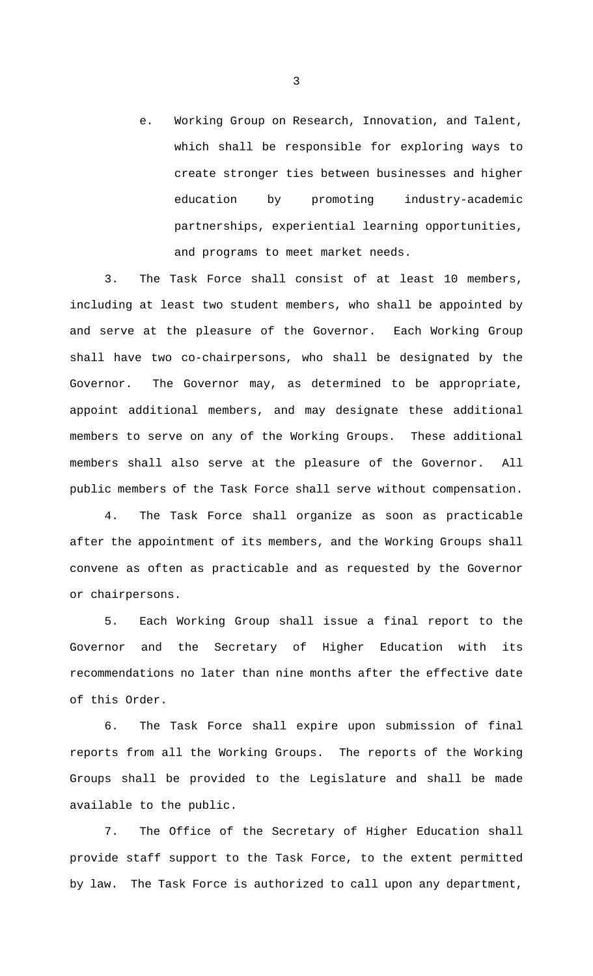e. Working Group on Research, Innovation, and Talent, which shall be responsible for exploring ways to create stronger ties between businesses and higher education by promoting industry-academic partnerships, experiential learning opportunities, and programs to meet market needs.

3. The Task Force shall consist of at least 10 members, including at least two student members, who shall be appointed by and serve at the pleasure of the Governor. Each Working Group shall have two co-chairpersons, who shall be designated by the Governor. The Governor may, as determined to be appropriate, appoint additional members, and may designate these additional members to serve on any of the Working Groups. These additional members shall also serve at the pleasure of the Governor. All public members of the Task Force shall serve without compensation.

4. The Task Force shall organize as soon as practicable after the appointment of its members, and the Working Groups shall convene as often as practicable and as requested by the Governor or chairpersons.

5. Each Working Group shall issue a final report to the Governor and the Secretary of Higher Education with its recommendations no later than nine months after the effective date of this Order.

6. The Task Force shall expire upon submission of final reports from all the Working Groups. The reports of the Working Groups shall be provided to the Legislature and shall be made available to the public.

7. The Office of the Secretary of Higher Education shall provide staff support to the Task Force, to the extent permitted by law. The Task Force is authorized to call upon any department,

3